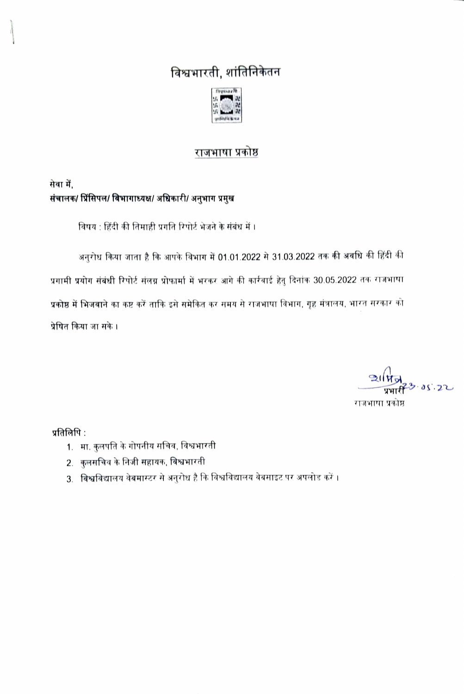# विश्वभारती, शांतिनिकेतन



## राजभाषा प्रकोष्ठ

## सेवा में, संचालक/ प्रिंसिपल/ विभागाध्यक्ष/ अधिकारी/ अनुभाग प्रमुख

विषय : हिंदी की तिमाही प्रगति रिपोर्ट भेजने के संबंध में ।

अनुरोध किया जाता है कि आपके विभाग में 01.01.2022 से 31.03.2022 तक की अवधि की हिंदी की प्रगामी प्रयोग संबंधी रिपोर्ट संलग्न प्रोफार्मा में भरकर आगे की कार्रवाई हेतु दिनांक 30.05.2022 तक राजभाषा प्रकोष्ठ में भिजवाने का कष्ट करें ताकि इसे समेकित कर समय से राजभाषा विभाग, गृह मंत्रालय, भारत सरकार को प्रेषित किया जा सके ।

 $2117$ 23 05 22 राजभाषा प्रकोष्ठ

प्रतिलिपि $:$ 

- 1. मा. कुलपति के गोपनीय सचिव, विश्वभारती
- 2. कुलसचिव के निजी सहायक, विश्वभारती
- 3. विश्वविद्यालय वेबमास्टर से अनुरोध है कि विश्वविद्यालय वेबसाइट पर अपलोड करें ।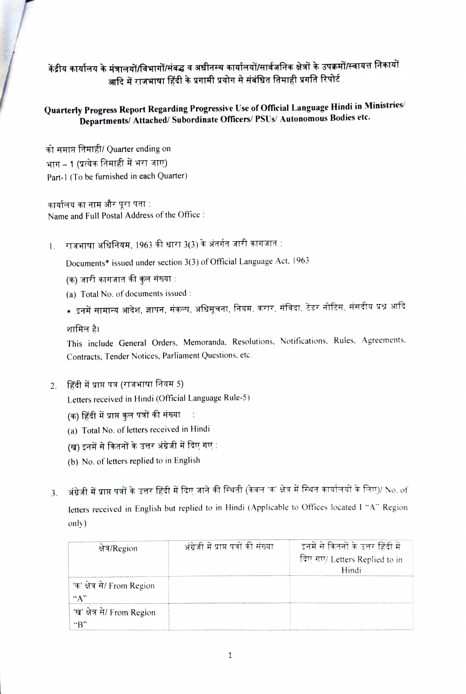## केंद्रीय कार्यालय के मंत्रालयों/विभागों/संबद्ध व अधीनस्थ कार्यालयों/सार्वजनिक क्षेत्रों के उपक्रमों/स्वायत्त निकायों आदि में राजभाषा हिंदी के प्रगामी प्रयोग से संबंधित तिमाही प्रगति रिपोर्ट

#### Quarterly Progress Report Regarding Progressive Use of Official Language Hindi in Ministries/ Departments/ Attached/ Subordinate Officers/ PSUs/ Autonomous Bodies etc.

को समाप्त तिमाही/ Quarter ending on भाग – 1 (प्रत्येक तिमाही में भरा जाए) Part-1 (To be furnished in each Quarter)

कार्यालय का नाम और पूरा पता : Name and Full Postal Address of the Office

1. राजभाषा अधिनियम, 1963 की धारा 3(3) के अंतर्गत जारी कागजात :

Documents\* issued under section 3(3) of Official Language Act, 1963

- (क) जारी कागजात की कुल संख्या :
- 
- (a) Total No. of documents issued :

शामिल है।

This include General Orders. Memoranda. Resolutions, Notifications, Rules. Agreements. Contracts, Tender Notices, Parliament Questions, etc.

2. हिंदी में प्राप्त पत्र (राजभाषा नियम 5)

Letters received in Hindi (Official Language Rule-5)

- (क) हिंदी में प्राप्त कुल पत्रों की संख्या  $\ddot{\phantom{1}}$ :
- (a) Total No. of letters received in Hindi
- (ख) इनमें से कितनों के उत्तर अंग्रेजी में दिए गए :
- (b) No. of letters replied to in English
- अंग्रेजी में प्राप्त पत्रों के उत्तर हिंदी में दिए जाने की स्थिती (केवल 'क' क्षेत्र में स्थित कार्यालयों के लिए)/ No. of  $3<sub>1</sub>$ letters received in English but replied to in Hindi (Applicable to Offices located I "A" Region only)

| क्षेत्र/Region                     | अंग्रेजी में प्राप्त पत्रों की संख्या | इनमें से कितनों के उत्तर हिंदी में<br>दिए गए/ Letters Replied to in<br>Hindi |
|------------------------------------|---------------------------------------|------------------------------------------------------------------------------|
| 'क' क्षेत्र से/ From Region<br>"А" |                                       |                                                                              |
| 'ख' क्षेत्र से/ From Region<br>"R" |                                       |                                                                              |